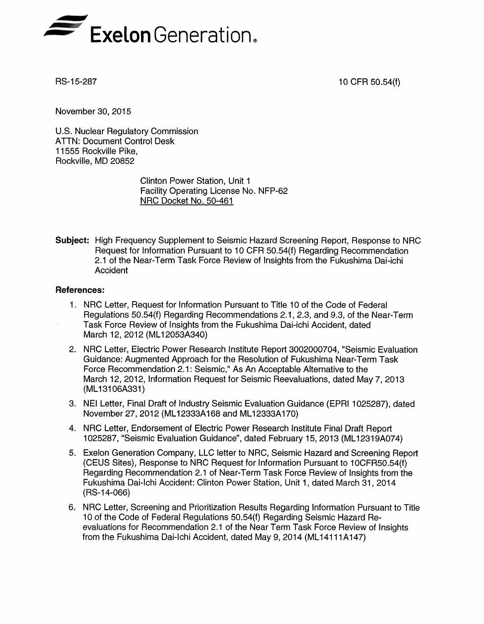

RS-15-287 10 CFR 50.54(f)

November 30, 2015

U.S. Nuclear Regulatory Commission ATTN: Document Control Desk 11555 Rockville Pike, Rockville, MD 20852

> Clinton Power Station, Unit 1 Facility Operating License No. NFP-62 NRC Docket No. 50-461

Subject: High Frequency Supplement to Seismic Hazard Screening Report, Response to NRC Request for Information Pursuant to 10 CFR 50.54(f) Regarding Recommendation 2.1 of the Near-Term Task Force Review of Insights from the Fukushima Dai-ichi Accident

## References:

- 1. NRC Letter, Request for Information Pursuant to Title 10 of the Code of Federal Regulations 50.54(f) Regarding Recommendations 2.1, 2.3, and 9.3, of the Near-Term Task Force Review of Insights from the Fukushima Dai-ichi Accident, dated March 12, 2012 (ML12053A340)
- 2. NRC Letter, Electric Power Research Institute Report 3002000704, "Seismic Evaluation Guidance: Augmented Approach for the Resolution of Fukushima Near-Term Task Force Recommendation 2.1: Seismic," As An Acceptable Alternative to the March 12, 2012, Information Request for Seismic Reevaluations, dated May 7, 2013 (ML13106A331)
- 3. NEI Letter, Final Draft of Industry Seismic Evaluation Guidance (EPRI 1025287), dated November 27, 2012 (ML12333A168 and ML12333A170)
- 4. NRC Letter, Endorsement of Electric Power Research Institute Final Draft Report 1025287, "Seismic Evaluation Guidance", dated February 15, 2013 (ML12319A074)
- 5. Exelon Generation Company, LLC letter to NRC, Seismic Hazard and Screening Report (CEUS Sites), Response to NRC Request for Information Pursuant to 10CFR50.54(f) Regarding Recommendation 2.1 of Near-Term Task Force Review of Insights from the Fukushima Dai-Ichi Accident: Clinton Power Station, Unit 1, dated March 31, 2014 (RS-14-066)
- 6. NRC Letter, Screening and Prioritization Results Regarding Information Pursuant to Title 10 of the Code of Federal Regulations 50.54(f) Regarding Seismic Hazard Reevaluations for Recommendation 2.1 of the Near Term Task Force Review of Insights from the Fukushima Dai-ichi Accident, dated May 9, 2014 (ML14111 A147)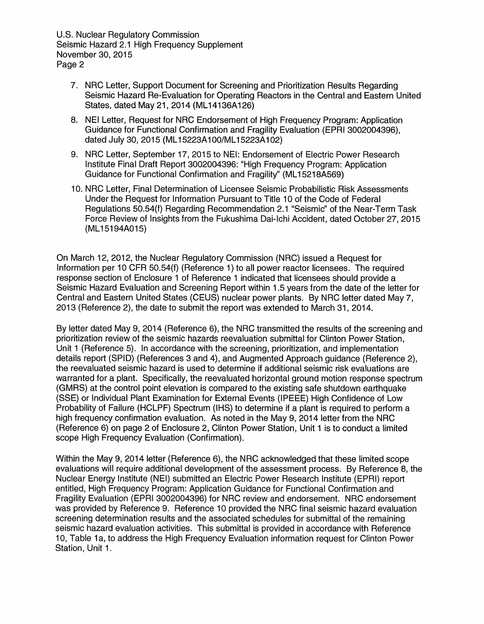U.S. Nuclear Regulatory Commission Seismic Hazard 2.1 High Frequency Supplement November 30, 2015 Page 2

- 7. NRC Letter, Support Document for Screening and Prioritization Results Regarding Seismic Hazard Re-Evaluation for Operating Reactors in the Central and Eastern United States, dated May 21, 2014 (ML14136A126)
- 8. NEI Letter, Request for NRC Endorsement of High Frequency Program: Application Guidance for Functional Confirmation and Fragility Evaluation (EPRI 3002004396), dated July 30, 2015 (ML15223A100/ML15223A102)
- 9. NRC Letter, September 17, 2015 to NEI: Endorsement of Electric Power Research Institute Final Draft Report 3002004396: "High Frequency Program: Application Guidance for Functional Confirmation and Fragility" (ML1 5218A569)
- 10. NRC Letter, Final Determination of Licensee Seismic Probabilistic Risk Assessments Under the Request for Information Pursuant to Title 10 of the Code of Federal Regulations 50.54(f) Regarding Recommendation 2.1 "Seismic" of the Near-Term Task Force Review of Insights from the Fukushima Dai-Ichi Accident, dated October 27, 2015 (ML15194A015)

On March 12, 2012, the Nuclear Regulatory Commission (NRC) issued a Request for Information per 10 CFR 50.54(f) (Reference 1) to all power reactor licensees. The required response section of Enclosure 1 of Reference 1 indicated that licensees should provide a Seismic Hazard Evaluation and Screening Report within 1.5 years from the date of the letter for Central and Eastern United States (CEUS) nuclear power plants. By NRC letter dated May 7, 2013 (Reference 2), the date to submit the report was extended to March 31, 2014.

By letter dated May 9, 2014 (Reference 6), the NRC transmitted the results of the screening and prioritization review of the seismic hazards reevaluation submittal for Clinton Power Station, Unit 1 (Reference 5). In accordance with the screening, prioritization, and implementation details report (SPID) (References 3 and 4), and Augmented Approach guidance (Reference 2), the reevaluated seismic hazard is used to determine if additional seismic risk evaluations are warranted for a plant. Specifically, the reevaluated horizontal ground motion response spectrum (GMRS) at the control point elevation is compared to the existing safe shutdown earthquake (SSE) or Individual Plant Examination for External Events (IPEEE) High Confidence of Low Probability of Failure (HCLPF) Spectrum (IHS) to determine if a plant is required to perform a high frequency confirmation evaluation. As noted in the May 9, 2014 letter from the NRC (Reference 6) on page 2 of Enclosure 2, Clinton Power Station, Unit 1 is to conduct a limited scope High Frequency Evaluation (Confirmation).

Within the May 9, 2014 letter (Reference 6), the NRC acknowledged that these limited scope evaluations will require additional development of the assessment process. By Reference 8, the Nuclear Energy Institute (NEI) submitted an Electric Power Research Institute (EPRI) report entitled, High Frequency Program: Application Guidance for Functional Confirmation and Fragility Evaluation (EPRI 3002004396) for NRC review and endorsement. NRC endorsement was provided by Reference 9. Reference 10 provided the NRC final seismic hazard evaluation screening determination results and the associated schedules for submittal of the remaining seismic hazard evaluation activities. This submittal is provided in accordance with Reference 10, Table 1a, to address the High Frequency Evaluation information request for Clinton Power Station, Unit 1.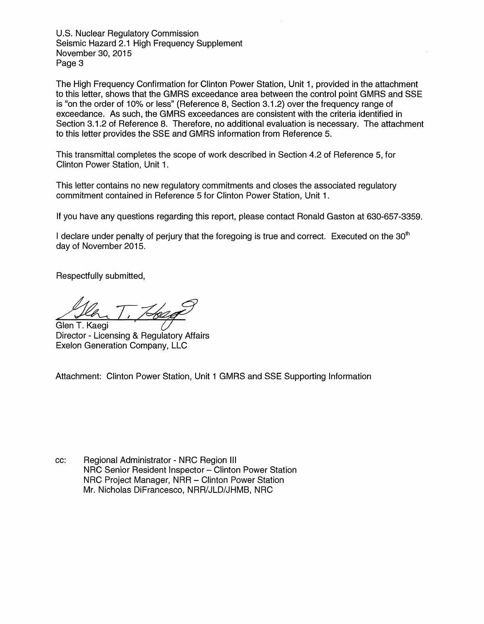U.S. Nuclear Regulatory Commission Seismic Hazard 2.1 High Frequency Supplement November 30, 2015 Page 3

The High Frequency Confirmation for Clinton Power Station, Unit 1, provided in the attachment to this letter, shows that the GMRS exceedance area between the control point GMRS and SSE is "on the order of 10% or less" (Reference 8, Section 3.1.2) over the frequency range of exceedance. As such, the GMRS exceedances are consistent with the criteria identified in Section 3.1.2 of Reference 8. Therefore, no additional evaluation is necessary. The attachment to this letter provides the SSE and GMRS information from Reference 5.

This transmittal completes the scope of work described in Section 4.2 of Reference 5, for Clinton Power Station, Unit 1.

This letter contains no new regulatory commitments and closes the associated regulatory commitment contained in Reference 5 for Clinton Power Station, Unit 1.

If you have any questions regarding this report, please contact Ronald Gaston at 630-657-3359.

I declare under penalty of perjury that the foregoing is true and correct. Executed on the  $30<sup>th</sup>$ day of November 2015.

Respectfully submitted,

Glen T. Kaegi

Director - Licensing & Regulatory Affairs Exelon Generation Company, LLC

Attachment: Clinton Power Station, Unit 1 GMRS and SSE Supporting Information

cc: Regional Administrator - NRC Region III NRC Senior Resident Inspector — Clinton Power Station NRC Project Manager, NRR — Clinton Power Station Mr. Nicholas DiFrancesco, NRR/JLD/JHMB, NRC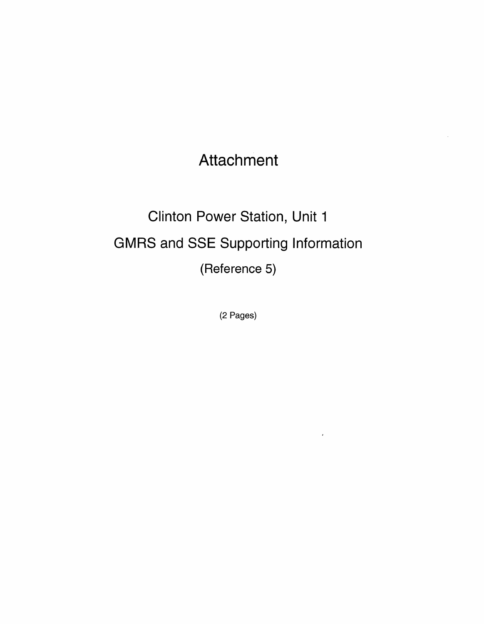Attachment

Clinton Power Station, Unit 1 GMRS and SSE Supporting Information (Reference 5)

(2 Pages)

 $\epsilon$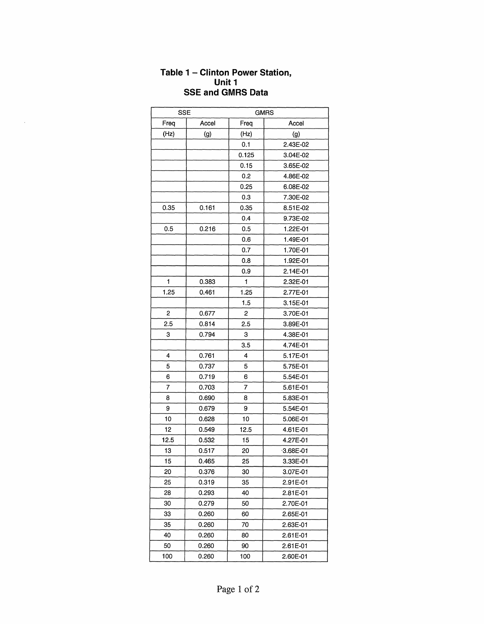## **Table 1 - Clinton Power Station, Unit 1 SSE and GMRS Data**

 $\hat{\boldsymbol{\beta}}$ 

| <b>SSE</b> |       | <b>GMRS</b>  |               |
|------------|-------|--------------|---------------|
| Freq       | Accel | Freq         | Accel         |
| (Hz)       | (g)   | (Hz)         | (g)           |
|            |       | 0.1          | 2.43E-02      |
|            |       | 0.125        | 3.04E-02      |
|            |       | 0.15         | 3.65E-02      |
|            |       | 0.2          | 4.86E-02      |
|            |       | 0.25         | 6.08E-02      |
|            |       | 0.3          | 7.30E-02      |
| 0.35       | 0.161 | 0.35         | 8.51E-02      |
|            |       | 0.4          | 9.73E-02      |
| 0.5        | 0.216 | 0.5          | 1.22E-01      |
|            |       | 0.6          | 1.49E-01      |
|            |       | 0.7          | 1.70E-01      |
|            |       | 0.8          | 1.92E-01      |
|            |       | 0.9          | 2.14E-01      |
| 1          | 0.383 | $\mathbf{1}$ | 2.32E-01      |
| 1.25       | 0.461 | 1.25         | 2.77E-01      |
|            |       | 1.5          | 3.15E-01      |
| 2          | 0.677 | 2            | 3.70E-01      |
| 2.5        | 0.814 | 2.5          | 3.89E-01      |
| 3          | 0.794 | 3            | 4.38E-01      |
|            |       | 3.5          | 4.74E-01      |
| 4          | 0.761 | 4            | 5.17E-01      |
| 5          | 0.737 | 5            | 5.75E-01      |
| 6          | 0.719 | 6            | 5.54E-01      |
| 7          | 0.703 | 7            | 5.61E-01      |
| 8          | 0.690 | 8            | 5.83E-01      |
| 9          | 0.679 | 9            | 5.54E-01      |
| 10         | 0.628 | 10           | 5.06E-01      |
| 12         | 0.549 | 12.5         | 4.61E-01      |
| 12.5       | 0.532 | 15           | 4.27E-01      |
| 13         | 0.517 | 20           | $-3.68E - 01$ |
| 15         | 0.465 | 25           | 3.33E-01      |
| 20         | 0.376 | 30           | 3.07E-01      |
| 25         | 0.319 | 35           | 2.91E-01      |
| 28         | 0.293 | 40           | 2.81E-01      |
| 30         | 0.279 | 50           | 2.70E-01      |
| 33         | 0.260 | 60           | 2.65E-01      |
| 35         | 0.260 | 70           | 2.63E-01      |
| 40         | 0.260 | 80           | 2.61E-01      |
| 50         | 0.260 | 90           | 2.61E-01      |
| 100        | 0.260 | 100          | 2.60E-01      |